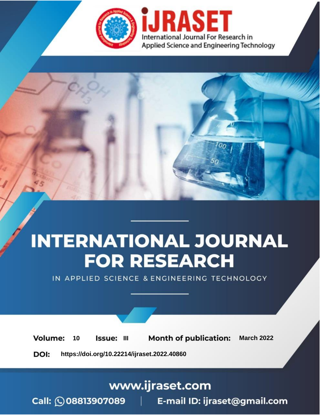

# **INTERNATIONAL JOURNAL FOR RESEARCH**

IN APPLIED SCIENCE & ENGINEERING TECHNOLOGY

10 **Issue: III Month of publication:** March 2022 **Volume:** 

**https://doi.org/10.22214/ijraset.2022.40860**DOI:

www.ijraset.com

Call: 008813907089 | E-mail ID: ijraset@gmail.com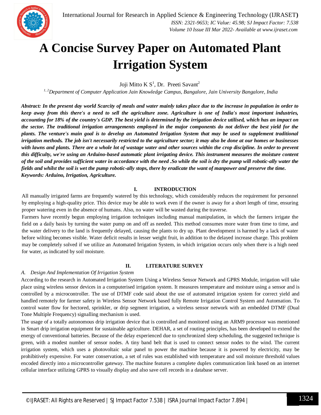### **A Concise Survey Paper on Automated Plant Irrigation System**

Joji Mitto K  $S^1$ , Dr. Preeti Savant<sup>2</sup>

*1, 2Department of Computer Application Jain Knowledge Campus, Bangalore*, *Jain University Bangalore, India*

*Abstract: In the present day world Scarcity of meals and water mainly takes place due to the increase in population in order to keep away from this there's a need to sell the agriculture zone. Agriculture is one of India's most important industries, accounting for 18% of the country's GDP. The best yield is determined by the irrigation device utilised, which has an impact on the sector. The traditional irrigation arrangements employed in the major components do not deliver the best yield for the plants. The venture's main goal is to develop an Automated Irrigation System that may be used to supplement traditional irrigation methods. The job isn't necessarily restricted to the agriculture sector; it may also be done at our homes or businesses with lawns and plants. There are a whole lot of wastage water and other sources within the crop discipline. In order to prevent this difficulty, we're using an Arduino-based automatic plant irrigating device. This instrument measures the moisture content of the soil and provides sufficient water in accordance with the need .So while the soil is dry the pump will robotic-ally water the fields and whilst the soil is wet the pump robotic-ally stops, there by eradicate the want of manpower and preserve the time. Keywords: Arduino, Irrigation, Agriculture.*

#### **I. INTRODUCTION**

All manually irrigated farms are frequently watered by this technology, which considerably reduces the requirement for personnel by employing a high-quality price. This device may be able to work even if the owner is away for a short length of time, ensuring proper watering even in the absence of humans. Also, no water will be wasted during the traverse.

Farmers have recently begun employing irrigation techniques including manual manipulation, in which the farmers irrigate the field on a daily basis by turning the water pump on and off as needed. This method consumes more water from time to time, and the water delivery to the land is frequently delayed, causing the plants to dry up. Plant development is harmed by a lack of water before wilting becomes visible. Water deficit results in lesser weight fruit, in addition to the delayed increase charge. This problem may be completely solved if we utilize an Automated Irrigation System, in which irrigation occurs only when there is a high need for water, as indicated by soil moisture.

#### **II. LITERATURE SURVEY**

#### *A. Design And Implementation Of Irrigation System*

According to the research in Automated Irrigation System Using a Wireless Sensor Network and GPRS Module, irrigation will take place using wireless sensor devices in a computerised irrigation system. It measures temperature and moisture using a sensor and is controlled by a microcontroller. The use of DTMF code said about the use of automated irrigation system for correct yield and handled remotely for farmer safety in Wireless Sensor Network based fully Remote Irrigation Control System and Automation. To control water flow for hectored, sprinkler, or drip segment irrigation, a wireless sensor network with an embedded DTMF (Dual Tone Multiple Frequency) signalling mechanism is used.

The usage of a totally autonomous drip irrigation device that is controlled and monitored using an ARM9 processor was mentioned in Smart drip irrigation equipment for sustainable agriculture. DEHAR, a set of routing principles, has been developed to extend the energy of conventional batteries. Because of the delay experienced due to synchronized sleep scheduling, the suggested technique is green, with a modest number of sensor nodes. A tiny band belt that is used to connect sensor nodes to the wind. The current irrigation system, which uses a photovoltaic solar panel to power the machine because it is powered by electricity, may be prohibitively expensive. For water conservation, a set of rules was established with temperature and soil moisture threshold values encoded directly into a microcontroller gateway. The machine features a complete duplex communication link based on an internet cellular interface utilizing GPRS to visually display and also save cell records in a database server.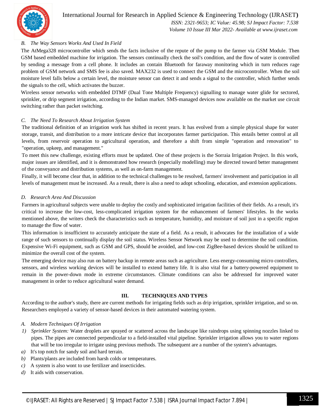

#### *B. The Way Sensors Works And Used In Field*

The AtMega328 microcontroller which sends the facts inclusive of the repute of the pump to the farmer via GSM Module. Then GSM based embedded machine for irrigation. The sensors continually check the soil's condition, and the flow of water is controlled by sending a message from a cell phone. It includes an contain Bluetooth for faraway monitoring which in turn reduces rage problem of GSM network and SMS fee is also saved. MAX232 is used to connect the GSM and the microcontroller. When the soil moisture level falls below a certain level, the moisture sensor can detect it and sends a signal to the controller, which further sends the signals to the cell, which activates the buzzer.

Wireless sensor networks with embedded DTMF (Dual Tone Multiple Frequency) signalling to manage water glide for sectored, sprinkler, or drip segment irrigation, according to the Indian market. SMS-managed devices now available on the market use circuit switching rather than packet switching.

#### *C. The Need To Research About Irrigation System*

The traditional definition of an irrigation work has shifted in recent years. It has evolved from a simple physical shape for water storage, transit, and distribution to a more intricate device that incorporates farmer participation. This entails better control at all levels, from reservoir operation to agricultural operation, and therefore a shift from simple "operation and renovation" to "operation, upkeep, and management."

To meet this new challenge, existing efforts must be updated. One of these projects is the Sorraia Irrigation Project. In this work, major issues are identified, and it is demonstrated how research (especially modelling) may be directed toward better management of the conveyance and distribution systems, as well as on-farm management.

Finally, it will become clear that, in addition to the technical challenges to be resolved, farmers' involvement and participation in all levels of management must be increased. As a result, there is also a need to adopt schooling, education, and extension applications.

#### *D. Research Area And Discussion*

Farmers in agricultural subjects were unable to deploy the costly and sophisticated irrigation facilities of their fields. As a result, it's critical to increase the low-cost, less-complicated irrigation system for the enhancement of farmers' lifestyles. In the works mentioned above, the writers check the characteristics such as temperature, humidity, and moisture of soil just in a specific region to manage the flow of water.

This information is insufficient to accurately anticipate the state of a field. As a result, it advocates for the installation of a wide range of such sensors to continually display the soil status. Wireless Sensor Network may be used to determine the soil condition. Expensive Wi-Fi equipment, such as GSM and GPS, should be avoided, and low-cost ZigBee-based devices should be utilized to minimize the overall cost of the system.

The emerging device may also run on battery backup in remote areas such as agriculture. Less energy-consuming micro controllers, sensors, and wireless working devices will be installed to extend battery life. It is also vital for a battery-powered equipment to remain in the power-down mode in extreme circumstances. Climate conditions can also be addressed for improved water management in order to reduce agricultural water demand.

#### **III. TECHNIQUES AND TYPES**

According to the author's study, there are current methods for irrigating fields such as drip irrigation, sprinkler irrigation, and so on. Researchers employed a variety of sensor-based devices in their automated watering system.

#### *A. Modern Techniques Of Irrigation*

- *1) Sprinkler System:* Water droplets are sprayed or scattered across the landscape like raindrops using spinning nozzles linked to pipes. The pipes are connected perpendicular to a field-installed vital pipeline. Sprinkler irrigation allows you to water regions that will be too irregular to irrigate using previous methods. The subsequent are a number of the system's advantages.
- *a)* It's top notch for sandy soil and hard terrain.
- *b)* Plants/plants are included from harsh colds or temperatures.
- *c)* A system is also wont to use fertilizer and insecticides.
- *d)* It aids with conservation.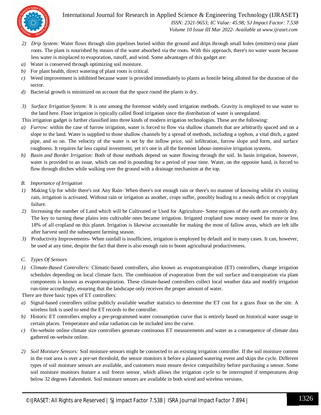

#### International Journal for Research in Applied Science & Engineering Technology (IJRASET**)**

 *ISSN: 2321-9653; IC Value: 45.98; SJ Impact Factor: 7.538 Volume 10 Issue III Mar 2022- Available at www.ijraset.com*

- *2) Drip System:* Water flows through slim pipelines buried within the ground and drips through small holes (emitters) near plant roots. The plant is nourished by means of the water absorbed via the roots. With this approach, there's no water waste because less water is misplaced to evaporation, runoff, and wind. Some advantages of this gadget are:
- *a)* Water is conserved through optimizing soil moisture.
- *b)* For plant health, direct watering of plant roots is critical.
- *c)* Weed improvement is inhibited because water is provided immediately to plants as hostile being allotted for the duration of the sector.
- *d)* Bacterial growth is minimized on account that the space round the plants is dry.
- *3) Surface Irrigation System:* It is one among the foremost widely used irrigation methods. Gravity is employed to use water to the land here. Floor irrigation is typically called flood irrigation since the distribution of water is unregulated.
- This irrigation gadget is further classified into three kinds of modern irrigation technologies. These are the following:
- *a) Furrow:* within the case of furrow irrigation, water is forced to flow via shallow channels that are arbitrarily spaced and on a slope to the land. Water is supplied to those shallow channels by a spread of methods, including a syphon, a vital ditch, a gated pipe, and so on. The velocity of the water is set by the inflow price, soil infiltration, furrow slope and form, and surface roughness. It requires far less capital investment, yet it's one in all the foremost labour-intensive irrigation systems.
- *b) Basin and Border Irrigation:* Both of those methods depend on water flowing through the soil. In basin irrigation, however, water is provided to an issue, which can end in pounding for a period of your time. Water, on the opposite hand, is forced to flow through ditches while walking over the ground with a drainage mechanism at the top.
- *B. Importance of Irrigation*
- *1)* Making Up for while there's not Any Rain- When there's not enough rain or there's no manner of knowing whilst it's visiting rain, irrigation is activated. Without rain or irrigation as another, crops suffer, possibly leading to a meals deficit or crop/plant failure.
- *2)* Increasing the number of Land which will be Cultivated or Used for Agriculture- Some regions of the earth are certainly dry. The key to turning these plains into cultivable ones became irrigation. Irrigated cropland now money owed for more or less 18% of all cropland on this planet. Irrigation is likewise accountable for making the most of fallow areas, which are left idle after harvest until the subsequent farming season.
- *3)* Productivity Improvements- When rainfall is insufficient, irrigation is employed by default and in many cases. It can, however, be used at any time, despite the fact that there is also enough rain to boom agricultural productiveness.
- *C. Types Of Sensors*
- *1) Climate-Based Controllers:* Climatic-based controllers, also known as evapotranspiration (ET) controllers, change irrigation schedules depending on local climate facts. The combination of evaporation from the soil surface and transpiration via plant components is known as evapotranspiration. These climate-based controllers collect local weather data and modify irrigation run-time accordingly, ensuring that the landscape only receives the proper amount of water.

There are three basic types of ET controllers:

- *a)* Signal-based controllers utilise publicly available weather statistics to determine the ET cost for a grass floor on the site. A wireless link is used to send the ET records to the controller.
- *b)* Historic ET controllers employ a pre-programmed water consumption curve that is entirely based on historical water usage in certain places. Temperature and solar radiation can be included into the curve.
- *c)* On-website online climate size controllers generate continuous ET measurements and water as a consequence of climate data gathered on-website online.
- *2) Soil Moisture Sensors:* Soil moisture sensors might be connected to an existing irrigation controller. If the soil moisture content in the root area is over a pre-set threshold, the sensor monitors it before a planned watering event and skips the cycle. Different types of soil moisture sensors are available, and customers must ensure device compatibility before purchasing a sensor. Some soil moisture monitors feature a soil freeze sensor, which allows the irrigation cycle to be interrupted if temperatures drop below 32 degrees Fahrenheit. Soil moisture sensors are available in both wired and wireless versions.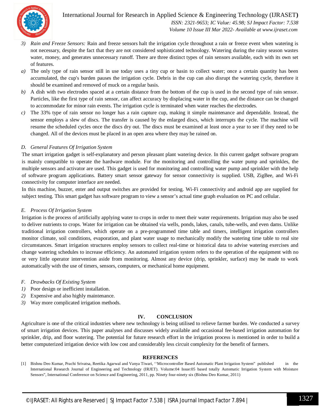

#### International Journal for Research in Applied Science & Engineering Technology (IJRASET**)**  *ISSN: 2321-9653; IC Value: 45.98; SJ Impact Factor: 7.538 Volume 10 Issue III Mar 2022- Available at www.ijraset.com*

- *3) Rain and Freeze Sensors:* Rain and freeze sensors halt the irrigation cycle throughout a rain or freeze event when watering is not necessary, despite the fact that they are not considered sophisticated technology. Watering during the rainy season wastes water, money, and generates unnecessary runoff. There are three distinct types of rain sensors available, each with its own set of features.
- *a*) The only type of rain sensor still in use today uses a tiny cup or basin to collect water; once a certain quantity has been accumulated, the cup's burden pauses the irrigation cycle. Debris in the cup can also disrupt the watering cycle, therefore it should be examined and removed of muck on a regular basis.
- *b)* A dish with two electrodes spaced at a certain distance from the bottom of the cup is used in the second type of rain sensor. Particles, like the first type of rain sensor, can affect accuracy by displacing water in the cup, and the distance can be changed to accommodate for minor rain events. The irrigation cycle is terminated when water reaches the electrodes.
- *c)* The 33% type of rain sensor no longer has a rain capture cup, making it simple maintenance and dependable. Instead, the sensor employs a slew of discs. The transfer is caused by the enlarged discs, which interrupts the cycle. The machine will resume the scheduled cycles once the discs dry out. The discs must be examined at least once a year to see if they need to be changed. All of the devices must be placed in an open area where they may be rained on.

#### *D. General Features Of Irrigation System*

The smart irrigation gadget is self-explanatory and person pleasant plant watering device. In this current gadget software program is mainly compatible to operate the hardware module. For the monitoring and controlling the water pump and sprinkles, the multiple sensors and activator are used. This gadget is used for monitoring and controlling water pump and sprinkler with the help of software program applications. Battery smart sensor gateway for sensor connectivity is supplied. USB, ZigBee, and Wi-Fi connectivity for computer interface are needed.

In this machine, buzzer, enter and output switches are provided for testing. Wi-Fi connectivity and android app are supplied for subject testing. This smart gadget has software program to view a sensor's actual time graph evaluation on PC and cellular.

#### *E. Process Of Irrigation System*

Irrigation is the process of artificially applying water to crops in order to meet their water requirements. Irrigation may also be used to deliver nutrients to crops. Water for irrigation can be obtained via wells, ponds, lakes, canals, tube-wells, and even dams. Unlike traditional irrigation controllers, which operate on a pre-programmed time table and timers, intelligent irrigation controllers monitor climate, soil conditions, evaporation, and plant water usage to mechanically modify the watering time table to real site circumstances. Smart irrigation structures employ sensors to collect real-time or historical data to advise watering exercises and change watering schedules to increase efficiency. An automated irrigation system refers to the operation of the equipment with no or very little operator intervention aside from monitoring. Almost any device (drip, sprinkler, surface) may be made to work automatically with the use of timers, sensors, computers, or mechanical home equipment.

- *F. Drawbacks Of Existing System*
- *1)* Poor design or inefficient installation.
- *2)* Expensive and also highly maintenance.
- *3)* Way more complicated irrigation methods.

#### **IV. CONCLUSION**

Agriculture is one of the critical industries where new technology is being utilised to relieve farmer burden. We conducted a survey of smart irrigation devices. This paper analyses and discusses widely available and occasional fee-based irrigation automation for sprinkler, drip, and floor watering. The potential for future research effort in the irrigation process is mentioned in order to build a better computerized irrigation device with low cost and considerably less circuit complexity for the benefit of farmers.

#### **REFERENCES**

<sup>[1]</sup> Bishnu Deo Kumar, Prachi Srivatsa, Reetika Agarwal and Vanya Tiwari, ''Microcontroller Based Automatic Plant Irrigation System" published in the International Research Journal of Engineering and Technology (IRJET). Volume:04 Issue:05 based totally Automatic Irrigation System with Moisture Sensors", International Conference on Science and Engineering, 2011, pp. Ninety four-ninety six (Bishnu Deo Kumar, 2011)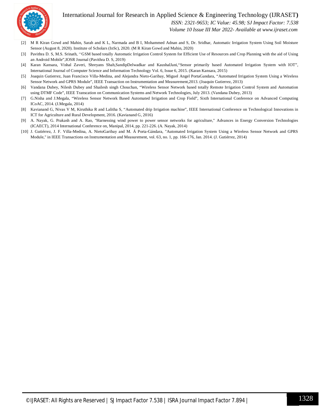#### International Journal for Research in Applied Science & Engineering Technology (IJRASET**)**



 *ISSN: 2321-9653; IC Value: 45.98; SJ Impact Factor: 7.538*

 *Volume 10 Issue III Mar 2022- Available at www.ijraset.com*

- [2] M R Kiran Gowd and Mahin, Sarah and K L, Narmada and B I, Mohammed Adnan and S, Dr. Sridhar, Automatic Irrigation System Using Soil Moisture Sensor (August 8, 2020). Institute of Scholars (InSc), 2020. (M R Kiran Gowd and Mahin, 2020)
- [3] Pavithra D. S, M.S. Srinath, "GSM based totally Automatic Irrigation Control System for Efficient Use of Resources and Crop Planning with the aid of Using an Android Mobile",IOSR Journal (Pavithra D. S, 2019)
- [4] Karan Kansara, Vishal Zaveri, Shreyans Shah,SandipDelwadkar and KaushalJani,"Sensor primarily based Automated Irrigation System with IOT", International Journal of Computer Science and Information Technology Vol. 6, Issue 6, 2015. (Karan Kansara, 2015)
- [5] Joaquin Gutierrez, Juan Francisco Villa-Medina, and Alejandra Nieto-Garibay, Miguel Angel PortaGandara, "Automated Irrigation System Using a Wireless Sensor Network and GPRS Module", IEEE Transaction on Instrumentation and Measurement,2013. (Joaquin Gutierrez, 2013)
- [6] Vandana Dubey, Nilesh Dubey and Shailesh singh Chouchan, "Wireless Sensor Network based totally Remote Irrigation Control System and Automation using DTMF Code", IEEE Transcation on Communication Systems and Network Technologies, July 2013. (Vandana Dubey, 2013)
- [7] G.Nisha and J.Megala, "Wireless Sensor Network Based Automated Irrigation and Crop Field", Sixth International Conference on Advanced Computing ICoAC, 2014. (J.Megala, 2014)
- [8] Kavianand G, Nivas V M, Kiruthika R and Lalitha S, "Automated drip Irrigation machine", IEEE International Conference on Technological Innovations in ICT for Agriculture and Rural Development, 2016. (Kavianand G, 2016)
- [9] A. Nayak, G. Prakash and A. Rao, "Harnessing wind power to power sensor networks for agriculture," Advances in Energy Conversion Technologies (ICAECT), 2014 International Conference on, Manipal, 2014, pp. 221-226. (A. Nayak, 2014)
- [10] J. Gutiérrez, J. F. Villa-Medina, A. NietoGaribay and M. Á Porta-Gándara, "Automated Irrigation System Using a Wireless Sensor Network and GPRS Module," in IEEE Transactions on Instrumentation and Measurement, vol. 63, no. 1, pp. 166-176, Jan. 2014. (J. Gutiérrez, 2014)